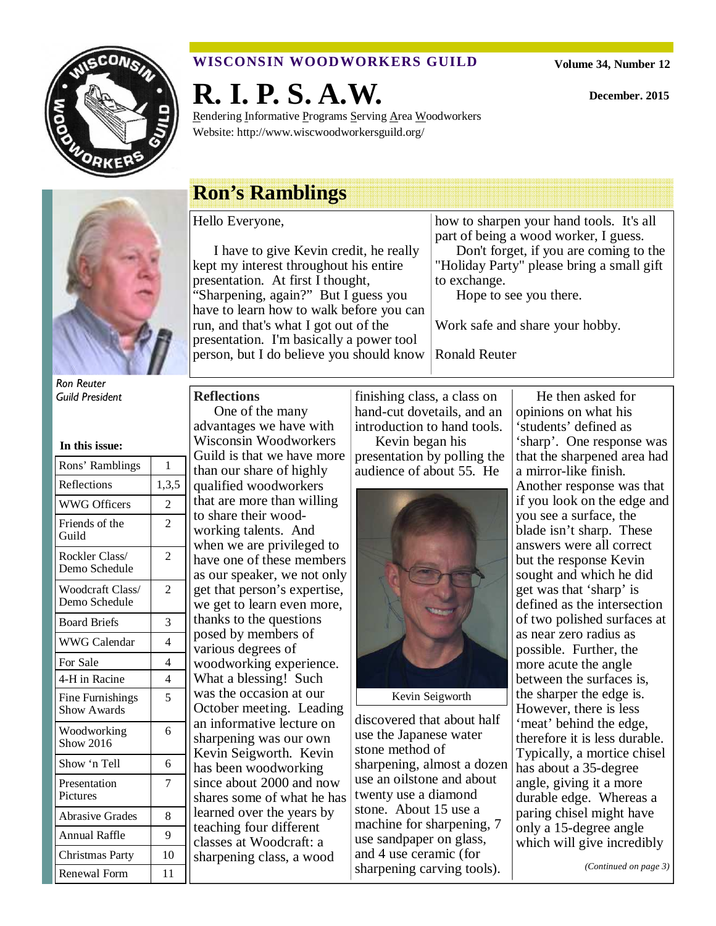

## **WISCONSIN WOODWORKERS GUILD**

**R. I. P. S. A.W.** 

Rendering Informative Programs Serving Area Woodworkers Website: http://www.wiscwoodworkersguild.org/

**December. 2015** 



Ron Reuter

| In this issue:                    |                |
|-----------------------------------|----------------|
| Rons' Ramblings                   | 1              |
| Reflections                       | 1,3,5          |
| <b>WWG Officers</b>               | $\overline{2}$ |
| Friends of the<br>Guild           | $\overline{c}$ |
| Rockler Class/<br>Demo Schedule   | $\overline{2}$ |
| Woodcraft Class/<br>Demo Schedule | $\overline{c}$ |
| <b>Board Briefs</b>               | 3              |
| <b>WWG Calendar</b>               | $\overline{4}$ |
| For Sale                          | 4              |
| 4-H in Racine                     | $\overline{4}$ |
| Fine Furnishings<br>Show Awards   | 5              |
| Woodworking<br><b>Show 2016</b>   | 6              |
| Show 'n Tell                      | 6              |
| Presentation<br>Pictures          | $\overline{7}$ |
| <b>Abrasive Grades</b>            | 8              |
| Annual Raffle                     | 9              |
| <b>Christmas Party</b>            | 10             |
| <b>Renewal Form</b>               | 11             |

## **Ron's Ramblings**

Hello Everyone,

I have to give Kevin credit, he really kept my interest throughout his entire presentation. At first I thought, "Sharpening, again?" But I guess you have to learn how to walk before you can run, and that's what I got out of the presentation. I'm basically a power tool person, but I do believe you should know how to sharpen your hand tools. It's all part of being a wood worker, I guess.

Don't forget, if you are coming to the "Holiday Party" please bring a small gift to exchange.

Hope to see you there.

Work safe and share your hobby.

Ronald Reuter

#### Guild President **Reflections**

One of the many advantages we have with Wisconsin Woodworkers Guild is that we have more than our share of highly qualified woodworkers that are more than willing to share their woodworking talents. And when we are privileged to have one of these members as our speaker, we not only get that person's expertise, we get to learn even more, thanks to the questions posed by members of various degrees of woodworking experience. What a blessing! Such was the occasion at our October meeting. Leading an informative lecture on sharpening was our own Kevin Seigworth. Kevin has been woodworking since about 2000 and now shares some of what he has learned over the years by teaching four different classes at Woodcraft: a sharpening class, a wood

finishing class, a class on hand-cut dovetails, and an introduction to hand tools.

Kevin began his presentation by polling the audience of about 55. He



Kevin Seigworth

discovered that about half use the Japanese water stone method of sharpening, almost a dozen use an oilstone and about twenty use a diamond stone. About 15 use a machine for sharpening, 7 use sandpaper on glass, and 4 use ceramic (for sharpening carving tools).

He then asked for opinions on what his 'students' defined as 'sharp'. One response was that the sharpened area had a mirror-like finish. Another response was that if you look on the edge and you see a surface, the blade isn't sharp. These answers were all correct but the response Kevin sought and which he did get was that 'sharp' is defined as the intersection of two polished surfaces at as near zero radius as possible. Further, the more acute the angle between the surfaces is, the sharper the edge is. However, there is less 'meat' behind the edge, therefore it is less durable. Typically, a mortice chisel has about a 35-degree angle, giving it a more durable edge. Whereas a paring chisel might have only a 15-degree angle which will give incredibly

*(Continued on page 3)*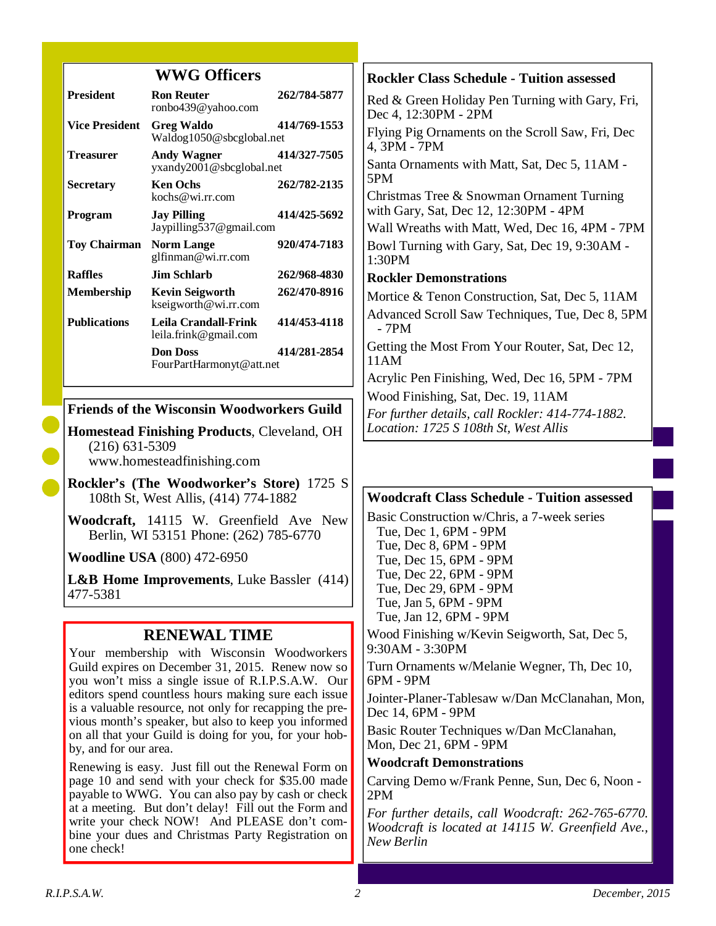## **WWG Officers**

| <b>President</b>      | <b>Ron Reuter</b><br>ronbo439@yahoo.com        | 262/784-5877 |
|-----------------------|------------------------------------------------|--------------|
| <b>Vice President</b> | <b>Greg Waldo</b><br>Waldog1050@sbcglobal.net  | 414/769-1553 |
| Treasurer             | Andy Wagner<br>yxandy2001@sbcglobal.net        | 414/327-7505 |
| <b>Secretary</b>      | <b>Ken Ochs</b><br>kochs@wi.rr.com             | 262/782-2135 |
| Program               | <b>Jay Pilling</b><br>Jaypilling537@gmail.com  | 414/425-5692 |
| Toy Chairman          | <b>Norm Lange</b><br>glfinman@wi.rr.com        | 920/474-7183 |
| <b>Raffles</b>        | Jim Schlarb.                                   | 262/968-4830 |
| Membership            | <b>Kevin Seigworth</b><br>kseigworth@wi.rr.com | 262/470-8916 |
| <b>Publications</b>   | Leila Crandall-Frink<br>leila.frink@gmail.com  | 414/453-4118 |
|                       | <b>Don Doss</b><br>FourPartHarmonyt@att.net    | 414/281-2854 |

#### **Friends of the Wisconsin Woodworkers Guild**

**Homestead Finishing Products**, Cleveland, OH (216) 631-5309 www.homesteadfinishing.com

**Rockler's (The Woodworker's Store)** 1725 S 108th St, West Allis, (414) 774-1882

**Woodcraft,** 14115 W. Greenfield Ave New Berlin, WI 53151 Phone: (262) 785-6770

**Woodline USA** (800) 472-6950

**L&B Home Improvements**, Luke Bassler (414) 477-5381

## **RENEWAL TIME**

Your membership with Wisconsin Woodworkers Guild expires on December 31, 2015. Renew now so you won't miss a single issue of R.I.P.S.A.W. Our editors spend countless hours making sure each issue is a valuable resource, not only for recapping the previous month's speaker, but also to keep you informed on all that your Guild is doing for you, for your hobby, and for our area.

Renewing is easy. Just fill out the Renewal Form on page 10 and send with your check for \$35.00 made payable to WWG. You can also pay by cash or check at a meeting. But don't delay! Fill out the Form and write your check NOW! And PLEASE don't combine your dues and Christmas Party Registration on one check!

## **Rockler Class Schedule - Tuition assessed** Red & Green Holiday Pen Turning with Gary, Fri, Dec 4, 12:30PM - 2PM Flying Pig Ornaments on the Scroll Saw, Fri, Dec 4, 3PM - 7PM Santa Ornaments with Matt, Sat, Dec 5, 11AM - 5PM Christmas Tree & Snowman Ornament Turning with Gary, Sat, Dec 12, 12:30PM - 4PM Wall Wreaths with Matt, Wed, Dec 16, 4PM - 7PM Bowl Turning with Gary, Sat, Dec 19, 9:30AM - 1:30PM **Rockler Demonstrations**  Mortice & Tenon Construction, Sat, Dec 5, 11AM Advanced Scroll Saw Techniques, Tue, Dec 8, 5PM - 7PM Getting the Most From Your Router, Sat, Dec 12, 11AM Acrylic Pen Finishing, Wed, Dec 16, 5PM - 7PM Wood Finishing, Sat, Dec. 19, 11AM *For further details, call Rockler: 414-774-1882. Location: 1725 S 108th St, West Allis*

#### **Woodcraft Class Schedule - Tuition assessed**

Basic Construction w/Chris, a 7-week series Tue, Dec 1, 6PM - 9PM Tue, Dec 8, 6PM - 9PM Tue, Dec 15, 6PM - 9PM Tue, Dec 22, 6PM - 9PM Tue, Dec 29, 6PM - 9PM Tue, Jan 5, 6PM - 9PM Tue, Jan 12, 6PM - 9PM Wood Finishing w/Kevin Seigworth, Sat, Dec 5,

9:30AM - 3:30PM Turn Ornaments w/Melanie Wegner, Th, Dec 10,

6PM - 9PM

Jointer-Planer-Tablesaw w/Dan McClanahan, Mon, Dec 14, 6PM - 9PM

Basic Router Techniques w/Dan McClanahan, Mon, Dec 21, 6PM - 9PM

**Woodcraft Demonstrations** 

Carving Demo w/Frank Penne, Sun, Dec 6, Noon - 2PM

*For further details, call Woodcraft: 262-765-6770. Woodcraft is located at 14115 W. Greenfield Ave., New Berlin*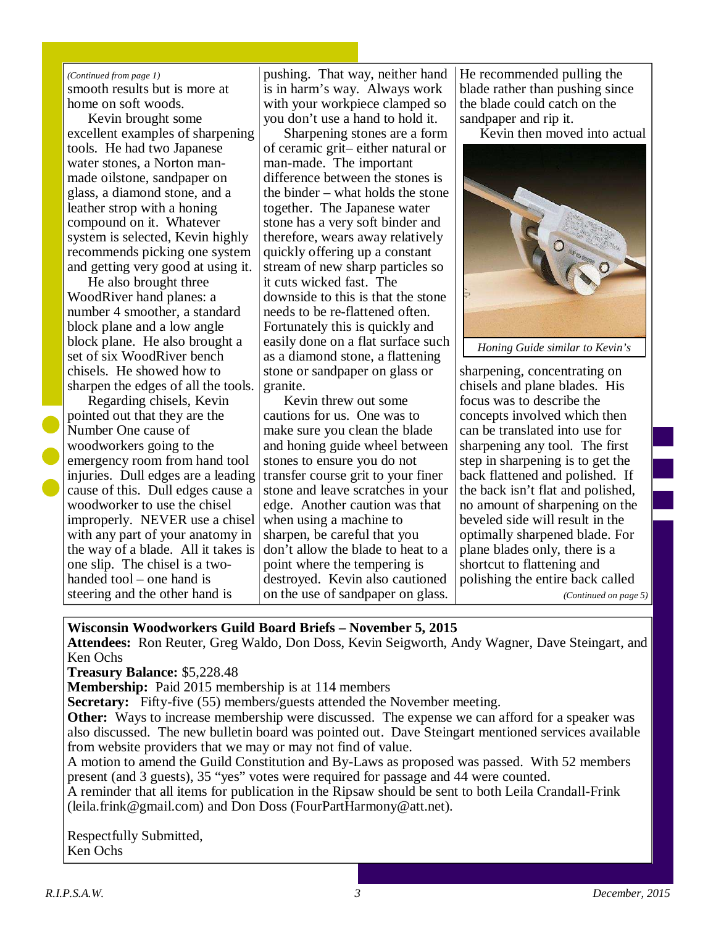#### smooth results but is more at home on soft woods. *(Continued from page 1)*

Kevin brought some excellent examples of sharpening tools. He had two Japanese water stones, a Norton manmade oilstone, sandpaper on glass, a diamond stone, and a leather strop with a honing compound on it. Whatever system is selected, Kevin highly recommends picking one system and getting very good at using it.

He also brought three WoodRiver hand planes: a number 4 smoother, a standard block plane and a low angle block plane. He also brought a set of six WoodRiver bench chisels. He showed how to sharpen the edges of all the tools.

Regarding chisels, Kevin pointed out that they are the Number One cause of woodworkers going to the emergency room from hand tool injuries. Dull edges are a leading cause of this. Dull edges cause a woodworker to use the chisel improperly. NEVER use a chisel with any part of your anatomy in the way of a blade. All it takes is one slip. The chisel is a twohanded tool – one hand is steering and the other hand is

pushing. That way, neither hand is in harm's way. Always work with your workpiece clamped so you don't use a hand to hold it.

Sharpening stones are a form of ceramic grit– either natural or man-made. The important difference between the stones is the binder – what holds the stone together. The Japanese water stone has a very soft binder and therefore, wears away relatively quickly offering up a constant stream of new sharp particles so it cuts wicked fast. The downside to this is that the stone needs to be re-flattened often. Fortunately this is quickly and easily done on a flat surface such as a diamond stone, a flattening stone or sandpaper on glass or granite.

Kevin threw out some cautions for us. One was to make sure you clean the blade and honing guide wheel between stones to ensure you do not transfer course grit to your finer stone and leave scratches in your edge. Another caution was that when using a machine to sharpen, be careful that you don't allow the blade to heat to a point where the tempering is destroyed. Kevin also cautioned on the use of sandpaper on glass. He recommended pulling the blade rather than pushing since the blade could catch on the sandpaper and rip it.

Kevin then moved into actual



sharpening, concentrating on chisels and plane blades. His focus was to describe the concepts involved which then can be translated into use for sharpening any tool. The first step in sharpening is to get the back flattened and polished. If the back isn't flat and polished, no amount of sharpening on the beveled side will result in the optimally sharpened blade. For plane blades only, there is a shortcut to flattening and polishing the entire back called *(Continued on page 5)* 

## **Wisconsin Woodworkers Guild Board Briefs – November 5, 2015**

**Attendees:** Ron Reuter, Greg Waldo, Don Doss, Kevin Seigworth, Andy Wagner, Dave Steingart, and Ken Ochs

**Treasury Balance:** \$5,228.48

**Membership:** Paid 2015 membership is at 114 members

**Secretary:** Fifty-five (55) members/guests attended the November meeting.

**Other:** Ways to increase membership were discussed. The expense we can afford for a speaker was also discussed. The new bulletin board was pointed out. Dave Steingart mentioned services available from website providers that we may or may not find of value.

A motion to amend the Guild Constitution and By-Laws as proposed was passed. With 52 members present (and 3 guests), 35 "yes" votes were required for passage and 44 were counted.

A reminder that all items for publication in the Ripsaw should be sent to both Leila Crandall-Frink (leila.frink@gmail.com) and Don Doss (FourPartHarmony@att.net).

Respectfully Submitted, Ken Ochs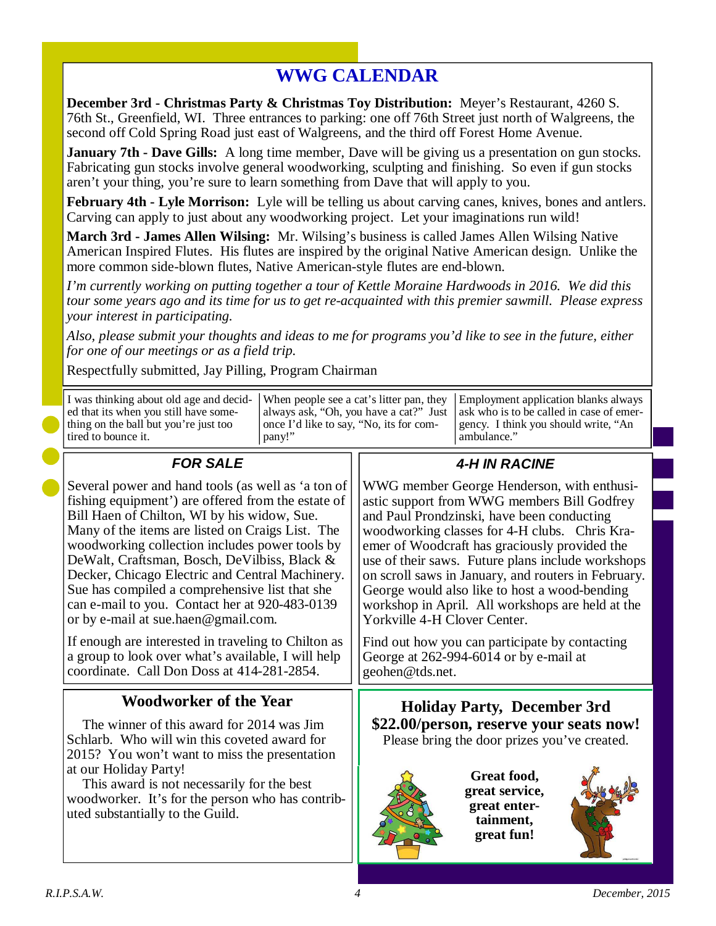## **WWG CALENDAR**

**December 3rd - Christmas Party & Christmas Toy Distribution:** Meyer's Restaurant, 4260 S. 76th St., Greenfield, WI. Three entrances to parking: one off 76th Street just north of Walgreens, the second off Cold Spring Road just east of Walgreens, and the third off Forest Home Avenue.

**January 7th - Dave Gills:** A long time member, Dave will be giving us a presentation on gun stocks. Fabricating gun stocks involve general woodworking, sculpting and finishing. So even if gun stocks aren't your thing, you're sure to learn something from Dave that will apply to you.

**February 4th - Lyle Morrison:** Lyle will be telling us about carving canes, knives, bones and antlers. Carving can apply to just about any woodworking project. Let your imaginations run wild!

**March 3rd - James Allen Wilsing:** Mr. Wilsing's business is called James Allen Wilsing Native American Inspired Flutes. His flutes are inspired by the original Native American design. Unlike the more common side-blown flutes, Native American-style flutes are end-blown.

*I'm currently working on putting together a tour of Kettle Moraine Hardwoods in 2016. We did this tour some years ago and its time for us to get re-acquainted with this premier sawmill. Please express your interest in participating.* 

*Also, please submit your thoughts and ideas to me for programs you'd like to see in the future, either for one of our meetings or as a field trip.* 

Respectfully submitted, Jay Pilling, Program Chairman

| tired to bounce it.<br>$FAD$ $CAI$ $E$                                         | pany!"                                  | ambulance."<br>$\lambda$ II IN DACINE                                                                                   |
|--------------------------------------------------------------------------------|-----------------------------------------|-------------------------------------------------------------------------------------------------------------------------|
| ed that its when you still have some-<br>thing on the ball but you're just too | once I'd like to say, "No, its for com- | always ask, "Oh, you have a cat?" Just ask who is to be called in case of emer-<br>gency. I think you should write, "An |
|                                                                                |                                         | I was thinking about old age and decid- When people see a cat's litter pan, they Employment application blanks always   |

| FUR SALE                                            | 4-H IN RACINE                                       |
|-----------------------------------------------------|-----------------------------------------------------|
| Several power and hand tools (as well as 'a ton of  | WWG member George Henderson, with enthusi-          |
| fishing equipment') are offered from the estate of  | astic support from WWG members Bill Godfrey         |
| Bill Haen of Chilton, WI by his widow, Sue.         | and Paul Prondzinski, have been conducting          |
| Many of the items are listed on Craigs List. The    | woodworking classes for 4-H clubs. Chris Kra-       |
| woodworking collection includes power tools by      | emer of Woodcraft has graciously provided the       |
| DeWalt, Craftsman, Bosch, DeVilbiss, Black &        | use of their saws. Future plans include workshops   |
| Decker, Chicago Electric and Central Machinery.     | on scroll saws in January, and routers in February. |
| Sue has compiled a comprehensive list that she      | George would also like to host a wood-bending       |
| can e-mail to you. Contact her at 920-483-0139      | workshop in April. All workshops are held at the    |
| or by e-mail at sue.haen@gmail.com.                 | Yorkville 4-H Clover Center.                        |
| If enough are interested in traveling to Chilton as | Find out how you can participate by contacting      |
| a group to look over what's available, I will help  | George at 262-994-6014 or by e-mail at              |
| coordinate. Call Don Doss at 414-281-2854.          | geohen@tds.net.                                     |
| <b>Woodworker of the Year</b>                       | <b>Holiday Party, December 3rd</b>                  |
| The winner of this award for 2014 was Jim           | \$22.00/person, reserve your seats now!             |
| Schlarb. Who will win this coveted award for        | Please bring the door prizes you've created.        |
| 2015? You won't want to miss the presentation       | Great food,                                         |
| at our Holiday Party!                               | great service,                                      |
| This award is not necessarily for the best          | great enter-                                        |
| woodworker. It's for the person who has contrib-    | tainment,                                           |
| uted substantially to the Guild.                    | great fun!                                          |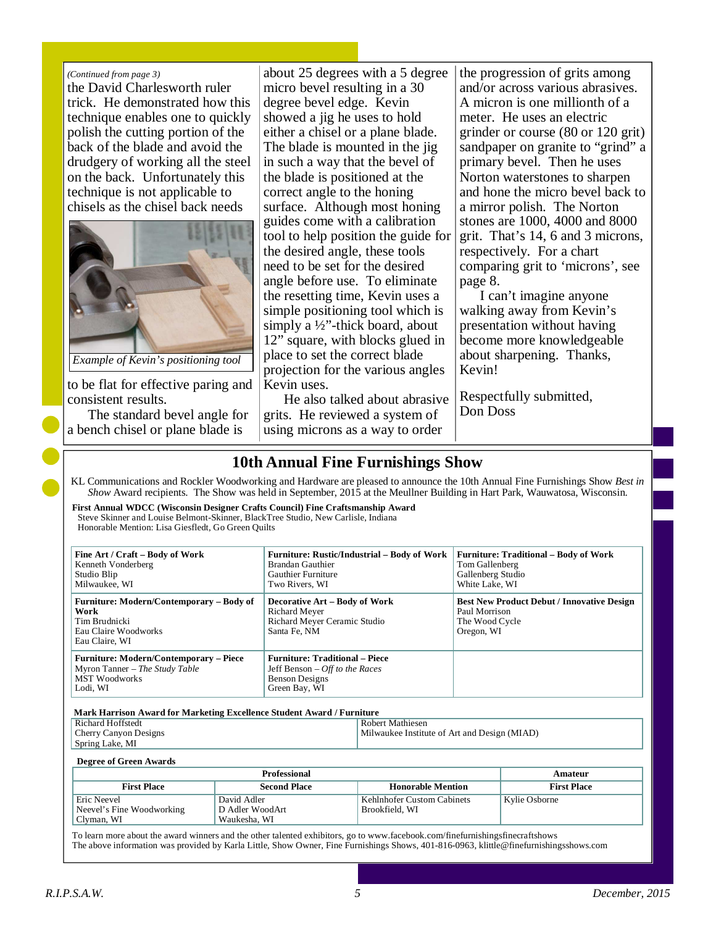#### *(Continued from page 3)*

the David Charlesworth ruler trick. He demonstrated how this technique enables one to quickly polish the cutting portion of the back of the blade and avoid the drudgery of working all the steel on the back. Unfortunately this technique is not applicable to chisels as the chisel back needs



*Example of Kevin's positioning tool* 

to be flat for effective paring and consistent results.

The standard bevel angle for a bench chisel or plane blade is

about 25 degrees with a 5 degree micro bevel resulting in a 30 degree bevel edge. Kevin showed a jig he uses to hold either a chisel or a plane blade. The blade is mounted in the jig in such a way that the bevel of the blade is positioned at the correct angle to the honing surface. Although most honing guides come with a calibration tool to help position the guide for the desired angle, these tools need to be set for the desired angle before use. To eliminate the resetting time, Kevin uses a simple positioning tool which is simply a ½"-thick board, about 12" square, with blocks glued in place to set the correct blade projection for the various angles Kevin uses.

He also talked about abrasive grits. He reviewed a system of using microns as a way to order

the progression of grits among and/or across various abrasives. A micron is one millionth of a meter. He uses an electric grinder or course (80 or 120 grit) sandpaper on granite to "grind" a primary bevel. Then he uses Norton waterstones to sharpen and hone the micro bevel back to a mirror polish. The Norton stones are 1000, 4000 and 8000 grit. That's 14, 6 and 3 microns, respectively. For a chart comparing grit to 'microns', see page 8.

I can't imagine anyone walking away from Kevin's presentation without having become more knowledgeable about sharpening. Thanks, Kevin!

Respectfully submitted, Don Doss

## **10th Annual Fine Furnishings Show**

KL Communications and Rockler Woodworking and Hardware are pleased to announce the 10th Annual Fine Furnishings Show *Best in Show* Award recipients. The Show was held in September, 2015 at the Meullner Building in Hart Park, Wauwatosa, Wisconsin.

**First Annual WDCC (Wisconsin Designer Crafts Council) Fine Craftsmanship Award**  Steve Skinner and Louise Belmont-Skinner, BlackTree Studio, New Carlisle, Indiana Honorable Mention: Lisa Giesfledt, Go Green Quilts

| Fine Art / Craft – Body of Work<br>Kenneth Vonderberg<br>Studio Blip<br>Milwaukee, WI                                | <b>Furniture: Rustic/Industrial – Body of Work</b><br>Brandan Gauthier<br><b>Gauthier Furniture</b><br>Two Rivers, WI | <b>Furniture: Traditional – Body of Work</b><br>Tom Gallenberg<br>Gallenberg Studio<br>White Lake, WI |
|----------------------------------------------------------------------------------------------------------------------|-----------------------------------------------------------------------------------------------------------------------|-------------------------------------------------------------------------------------------------------|
| Furniture: Modern/Contemporary – Body of<br>Work<br>Tim Brudnicki<br>Eau Claire Woodworks<br>Eau Claire, WI          | <b>Decorative Art – Body of Work</b><br>Richard Meyer<br>Richard Meyer Ceramic Studio<br>Santa Fe, NM                 | <b>Best New Product Debut / Innovative Design</b><br>Paul Morrison<br>The Wood Cycle<br>Oregon, WI    |
| <b>Furniture: Modern/Contemporary – Piece</b><br>$\vert$ Myron Tanner – The Study Table<br>MST Woodworks<br>Lodi, WI | <b>Furniture: Traditional – Piece</b><br>Jeff Benson $-$ <i>Off to the Races</i><br>Benson Designs<br>Green Bay, WI   |                                                                                                       |

Richard Hoffstedt Cherry Canyon Designs Spring Lake, MI Robert Mathiesen Milwaukee Institute of Art and Design (MIAD) **Mark Harrison Award for Marketing Excellence Student Award / Furniture** 

**Degree of Green Awards** 

|                                                        | Amateur                                        |                                              |                    |
|--------------------------------------------------------|------------------------------------------------|----------------------------------------------|--------------------|
| <b>First Place</b>                                     | <b>Second Place</b>                            | <b>Honorable Mention</b>                     | <b>First Place</b> |
| Eric Neevel<br>Neevel's Fine Woodworking<br>Clyman, WI | David Adler<br>D Adler WoodArt<br>Waukesha, WI | Kehlnhofer Custom Cabinets<br>Brookfield, WI | Kylie Osborne      |

To learn more about the award winners and the other talented exhibitors, go to www.facebook.com/finefurnishingsfinecraftshows The above information was provided by Karla Little, Show Owner, Fine Furnishings Shows, 401-816-0963, klittle@finefurnishingsshows.com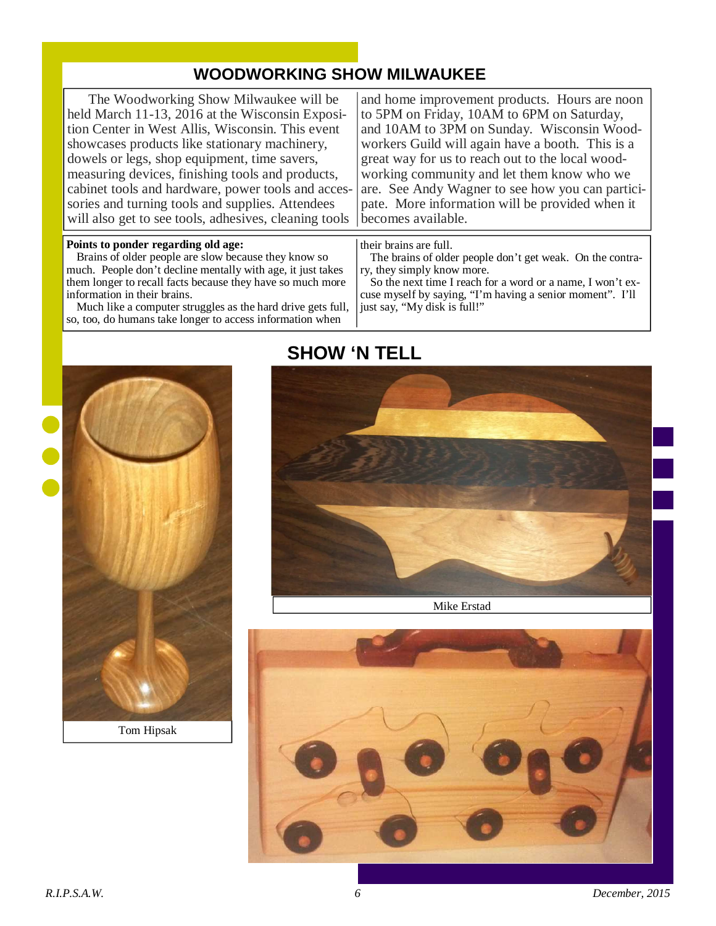## **WOODWORKING SHOW MILWAUKEE**

The Woodworking Show Milwaukee will be held March 11-13, 2016 at the Wisconsin Exposition Center in West Allis, Wisconsin. This event showcases products like stationary machinery, dowels or legs, shop equipment, time savers, measuring devices, finishing tools and products, cabinet tools and hardware, power tools and accessories and turning tools and supplies. Attendees will also get to see tools, adhesives, cleaning tools

#### **Points to ponder regarding old age:**

Brains of older people are slow because they know so much. People don't decline mentally with age, it just takes them longer to recall facts because they have so much more information in their brains.

Much like a computer struggles as the hard drive gets full, so, too, do humans take longer to access information when

and home improvement products. Hours are noon to 5PM on Friday, 10AM to 6PM on Saturday, and 10AM to 3PM on Sunday. Wisconsin Woodworkers Guild will again have a booth. This is a great way for us to reach out to the local woodworking community and let them know who we are. See Andy Wagner to see how you can participate. More information will be provided when it becomes available.

their brains are full.

The brains of older people don't get weak. On the contrary, they simply know more.

So the next time I reach for a word or a name, I won't excuse myself by saying, "I'm having a senior moment". I'll just say, "My disk is full!"



Tom Hipsak

## **SHOW 'N TELL**



Mike Erstad

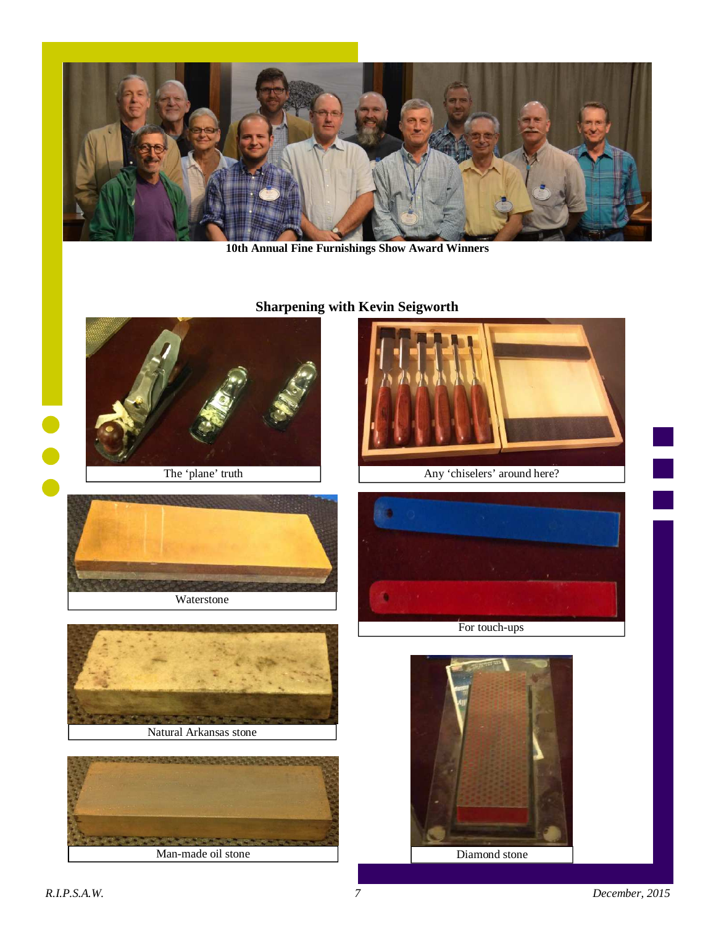

**10th Annual Fine Furnishings Show Award Winners** 

## **Sharpening with Kevin Seigworth**

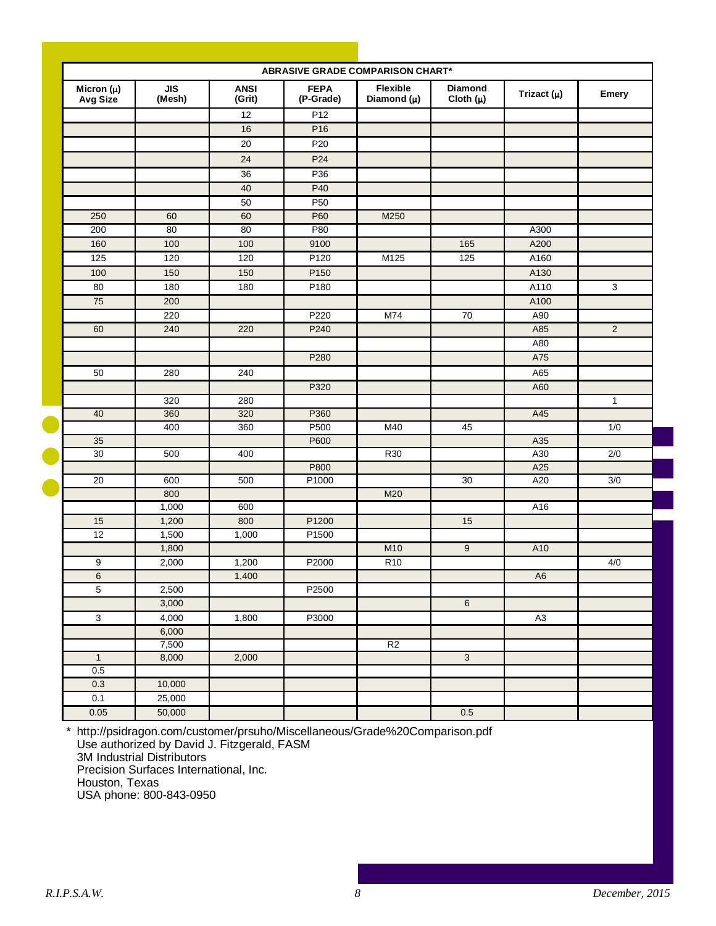|                            |               |                       |                          | <b>ABRASIVE GRADE COMPARISON CHART*</b> |                          |                 |                |
|----------------------------|---------------|-----------------------|--------------------------|-----------------------------------------|--------------------------|-----------------|----------------|
| Micron $(\mu)$<br>Avg Size | JIS<br>(Mesh) | <b>ANSI</b><br>(Grit) | <b>FEPA</b><br>(P-Grade) | Flexible<br>Diamond $(\mu)$             | Diamond<br>Cloth $(\mu)$ | Trizact $(\mu)$ | <b>Emery</b>   |
|                            |               | 12                    | P <sub>12</sub>          |                                         |                          |                 |                |
|                            |               | 16                    | P <sub>16</sub>          |                                         |                          |                 |                |
|                            |               | 20                    | P <sub>20</sub>          |                                         |                          |                 |                |
|                            |               | 24                    | P <sub>24</sub>          |                                         |                          |                 |                |
|                            |               | $\overline{36}$       | P36                      |                                         |                          |                 |                |
|                            |               | 40                    | P40                      |                                         |                          |                 |                |
|                            |               | 50                    | P <sub>50</sub>          |                                         |                          |                 |                |
| 250                        | 60            | 60                    | P60                      | M250                                    |                          |                 |                |
| 200                        | 80            | 80                    | P80                      |                                         |                          | A300            |                |
| 160                        | 100           | 100                   | 9100                     |                                         | 165                      | A200            |                |
| 125                        | 120           | 120                   | P120                     | M125                                    | $\overline{125}$         | A160            |                |
| 100                        | 150           | 150                   | P <sub>150</sub>         |                                         |                          | A130            |                |
| 80                         | 180           | 180                   | P <sub>180</sub>         |                                         |                          | A110            | $\mathbf 3$    |
| 75                         | 200           |                       |                          |                                         |                          | A100            |                |
|                            | 220           |                       | P220                     | M74                                     | 70                       | A90             |                |
| 60                         | 240           | 220                   | P240                     |                                         |                          | A85             | $\overline{2}$ |
|                            |               |                       |                          |                                         |                          | A80             |                |
|                            |               |                       | P280                     |                                         |                          | A75             |                |
| 50                         | 280           | 240                   |                          |                                         |                          | A65             |                |
|                            |               |                       | P320                     |                                         |                          | A60             |                |
|                            | 320           | 280                   |                          |                                         |                          |                 | $\mathbf{1}$   |
| 40                         | 360           | 320                   | P360                     |                                         |                          | A45             |                |
|                            | 400           | 360                   | P500                     | M40                                     | 45                       |                 | 1/0            |
| 35                         |               |                       | P600                     |                                         |                          | A35             |                |
| $\overline{30}$            | 500           | 400                   |                          | R30                                     |                          | A30             | 2/0            |
|                            |               |                       | P800                     |                                         |                          | A25             |                |
| 20                         | 600           | 500                   | P1000                    |                                         | 30                       | A20             | 3/0            |
|                            | 800           |                       |                          | M20                                     |                          |                 |                |
|                            | 1,000         | 600                   |                          |                                         |                          | A16             |                |
| 15                         | 1,200         | 800                   | P1200                    |                                         | 15                       |                 |                |
| 12                         | 1,500         | 1,000                 | P1500                    |                                         |                          |                 |                |
|                            | 1,800         |                       |                          | M10                                     | $\overline{9}$           | A10             |                |
| 9                          | 2,000         | 1,200                 | P2000                    | R <sub>10</sub>                         |                          |                 | 4/0            |
| 6                          |               | 1,400                 |                          |                                         |                          | A <sub>6</sub>  |                |
| 5                          | 2,500         |                       | P2500                    |                                         |                          |                 |                |
|                            | 3,000         |                       |                          |                                         | $6\overline{6}$          |                 |                |
| 3                          | 4,000         | 1,800                 | P3000                    |                                         |                          | A3              |                |
|                            | 6,000         |                       |                          |                                         |                          |                 |                |
|                            | 7,500         |                       |                          | R <sub>2</sub>                          |                          |                 |                |
| $\overline{1}$<br>0.5      | 8,000         | 2,000                 |                          |                                         | $\overline{3}$           |                 |                |
| 0.3                        | 10,000        |                       |                          |                                         |                          |                 |                |
| 0.1                        | 25,000        |                       |                          |                                         |                          |                 |                |
| 0.05                       |               |                       |                          |                                         |                          |                 |                |
|                            | 50,000        |                       |                          |                                         | 0.5                      |                 |                |

\* http://psidragon.com/customer/prsuho/Miscellaneous/Grade%20Comparison.pdf Use authorized by David J. Fitzgerald, FASM 3M Industrial Distributors Precision Surfaces International, Inc. Houston, Texas USA phone: 800-843-0950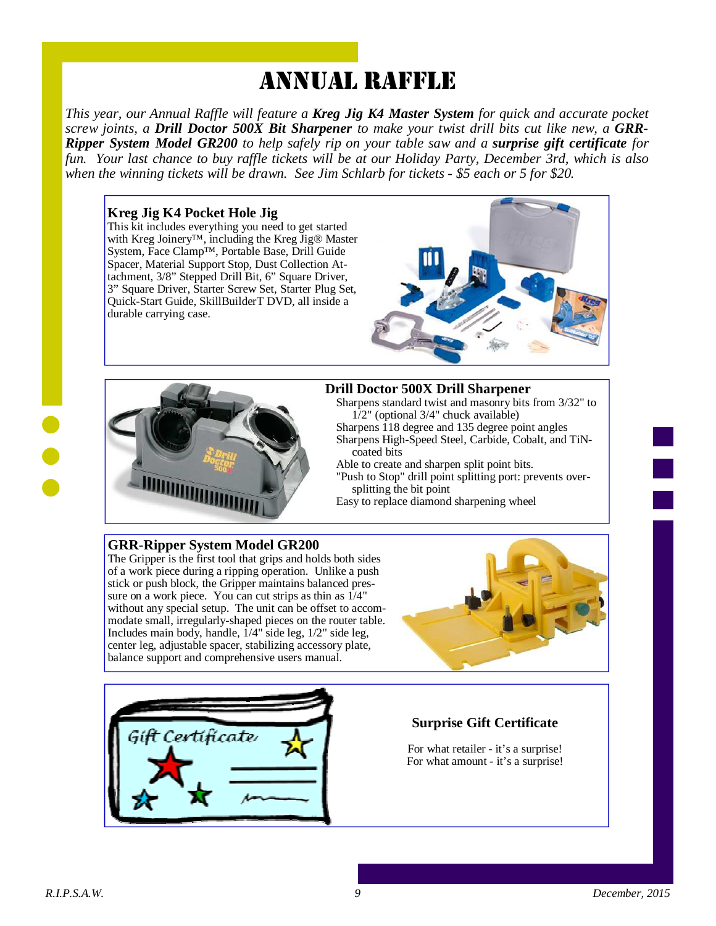## ANNUAL RAFFLE

*This year, our Annual Raffle will feature a Kreg Jig K4 Master System for quick and accurate pocket screw joints, a Drill Doctor 500X Bit Sharpener to make your twist drill bits cut like new, a GRR-Ripper System Model GR200 to help safely rip on your table saw and a surprise gift certificate for fun. Your last chance to buy raffle tickets will be at our Holiday Party, December 3rd, which is also when the winning tickets will be drawn. See Jim Schlarb for tickets - \$5 each or 5 for \$20.* 

#### **Kreg Jig K4 Pocket Hole Jig**

This kit includes everything you need to get started with Kreg Joinery™, including the Kreg Jig® Master System, Face Clamp™, Portable Base, Drill Guide Spacer, Material Support Stop, Dust Collection Attachment, 3/8" Stepped Drill Bit, 6" Square Driver, 3" Square Driver, Starter Screw Set, Starter Plug Set, Quick-Start Guide, SkillBuilderT DVD, all inside a durable carrying case.





#### **Drill Doctor 500X Drill Sharpener**

Sharpens standard twist and masonry bits from 3/32" to  $1/2$ " (optional 3/4" chuck available)

Sharpens 118 degree and 135 degree point angles

Sharpens High-Speed Steel, Carbide, Cobalt, and TiNcoated bits

Able to create and sharpen split point bits.

- "Push to Stop" drill point splitting port: prevents oversplitting the bit point
- Easy to replace diamond sharpening wheel

#### **GRR-Ripper System Model GR200**

The Gripper is the first tool that grips and holds both sides of a work piece during a ripping operation. Unlike a push stick or push block, the Gripper maintains balanced pressure on a work piece. You can cut strips as thin as 1/4" without any special setup. The unit can be offset to accommodate small, irregularly-shaped pieces on the router table. Includes main body, handle,  $1/4$ " side leg,  $1/2$ " side leg, center leg, adjustable spacer, stabilizing accessory plate, balance support and comprehensive users manual.





#### **Surprise Gift Certificate**

For what retailer - it's a surprise! For what amount - it's a surprise!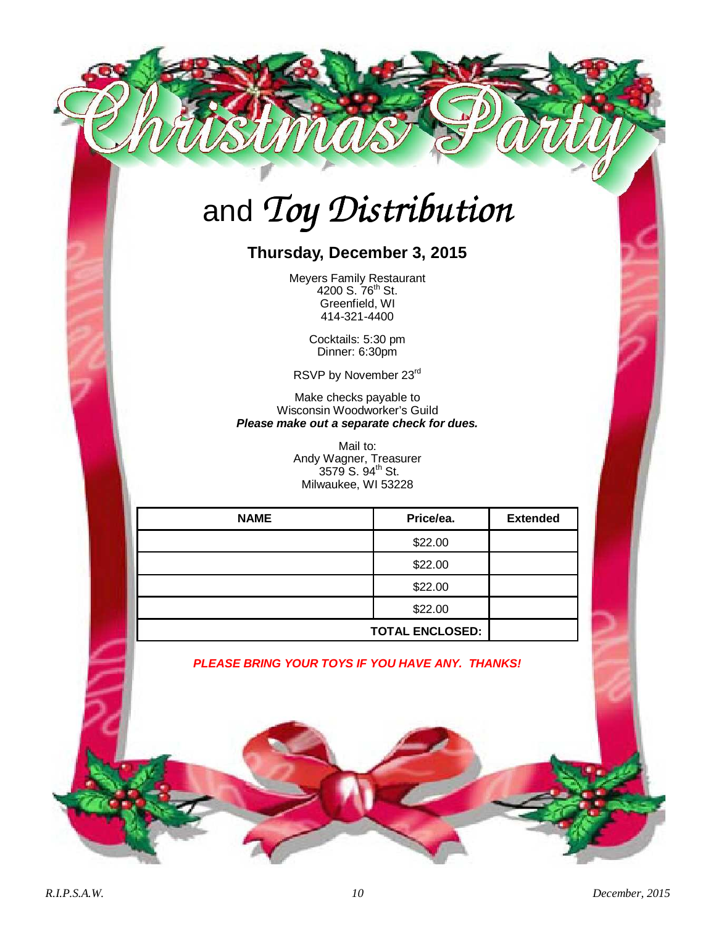# and *Toy Distribution*

## **Thursday, December 3, 2015**

Meyers Family Restaurant 4200 S. 76<sup>th</sup> St. Greenfield, WI 414-321-4400

> Cocktails: 5:30 pm Dinner: 6:30pm

RSVP by November 23rd

Make checks payable to Wisconsin Woodworker's Guild **Please make out a separate check for dues.** 

> Mail to: Andy Wagner, Treasurer  $3579$  S.  $94^{\text{th}}$  St. Milwaukee, WI 53228

| <b>NAME</b> | Price/ea.              | <b>Extended</b> |
|-------------|------------------------|-----------------|
|             | \$22.00                |                 |
|             | \$22.00                |                 |
|             | \$22.00                |                 |
|             | \$22.00                |                 |
|             | <b>TOTAL ENCLOSED:</b> |                 |

**PLEASE BRING YOUR TOYS IF YOU HAVE ANY. THANKS!**